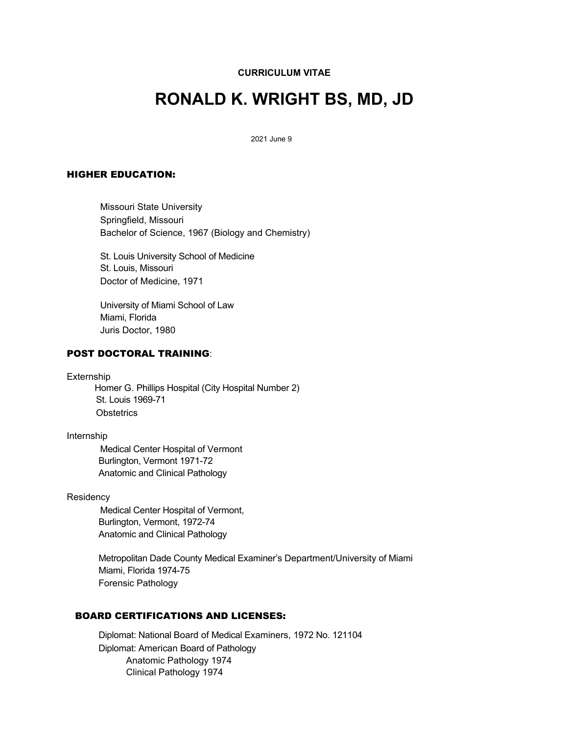**CURRICULUM VITAE**

# **RONALD K. WRIGHT BS, MD, JD**

2021 June 9

### HIGHER EDUCATION:

Missouri State University Springfield, Missouri Bachelor of Science, 1967 (Biology and Chemistry)

St. Louis University School of Medicine St. Louis, Missouri Doctor of Medicine, 1971

University of Miami School of Law Miami, Florida Juris Doctor, 1980

## POST DOCTORAL TRAINING:

Externship

Homer G. Phillips Hospital (City Hospital Number 2) St. Louis 1969-71 **Obstetrics** 

#### Internship

Medical Center Hospital of Vermont Burlington, Vermont 1971-72 Anatomic and Clinical Pathology

#### **Residency**

Medical Center Hospital of Vermont, Burlington, Vermont, 1972-74 Anatomic and Clinical Pathology

Metropolitan Dade County Medical Examiner's Department/University of Miami Miami, Florida 1974-75 Forensic Pathology

## BOARD CERTIFICATIONS AND LICENSES:

Diplomat: National Board of Medical Examiners, 1972 No. 121104 Diplomat: American Board of Pathology Anatomic Pathology 1974 Clinical Pathology 1974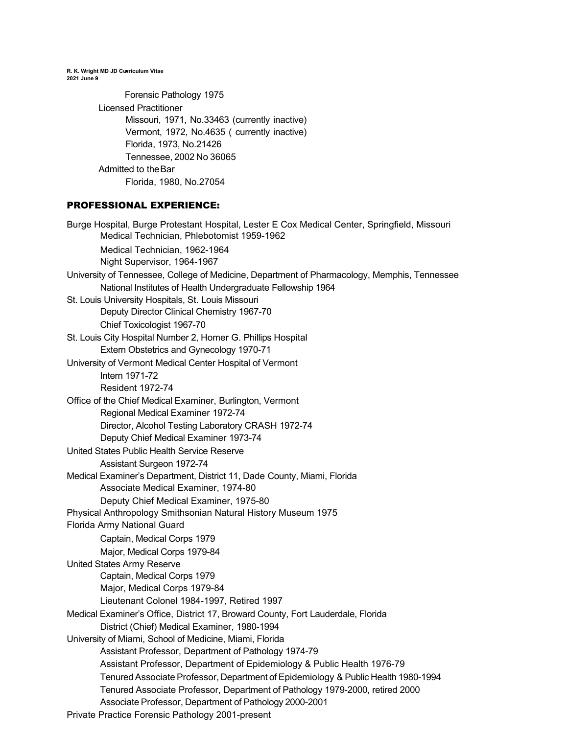**R. K. Wright MD JD Curriculum Vitae 2021 June 9**

> Forensic Pathology 1975 Licensed Practitioner Missouri, 1971, No.33463 (currently inactive) Vermont, 1972, No.4635 ( currently inactive) Florida, 1973, No.21426 Tennessee, 2002 No 36065 Admitted to theBar Florida, 1980, No.27054

## PROFESSIONAL EXPERIENCE:

Burge Hospital, Burge Protestant Hospital, Lester E Cox Medical Center, Springfield, Missouri Medical Technician, Phlebotomist 1959-1962 Medical Technician, 1962-1964 Night Supervisor, 1964-1967 University of Tennessee, College of Medicine, Department of Pharmacology, Memphis, Tennessee National Institutes of Health Undergraduate Fellowship 1964 St. Louis University Hospitals, St. Louis Missouri Deputy Director Clinical Chemistry 1967-70 Chief Toxicologist 1967-70 St. Louis City Hospital Number 2, Homer G. Phillips Hospital Extern Obstetrics and Gynecology 1970-71 University of Vermont Medical Center Hospital of Vermont Intern 1971-72 Resident 1972-74 Office of the Chief Medical Examiner, Burlington, Vermont Regional Medical Examiner 1972-74 Director, Alcohol Testing Laboratory CRASH 1972-74 Deputy Chief Medical Examiner 1973-74 United States Public Health Service Reserve Assistant Surgeon 1972-74 Medical Examiner's Department, District 11, Dade County, Miami, Florida Associate Medical Examiner, 1974-80 Deputy Chief Medical Examiner, 1975-80 Physical Anthropology Smithsonian Natural History Museum 1975 Florida Army National Guard Captain, Medical Corps 1979 Major, Medical Corps 1979-84 United States Army Reserve Captain, Medical Corps 1979 Major, Medical Corps 1979-84 Lieutenant Colonel 1984-1997, Retired 1997 Medical Examiner's Office, District 17, Broward County, Fort Lauderdale, Florida District (Chief) Medical Examiner, 1980-1994 University of Miami, School of Medicine, Miami, Florida Assistant Professor, Department of Pathology 1974-79 Assistant Professor, Department of Epidemiology & Public Health 1976-79 Tenured Associate Professor, Department of Epidemiology & Public Health 1980-1994 Tenured Associate Professor, Department of Pathology 1979-2000, retired 2000 Associate Professor, Department of Pathology 2000-2001 Private Practice Forensic Pathology 2001-present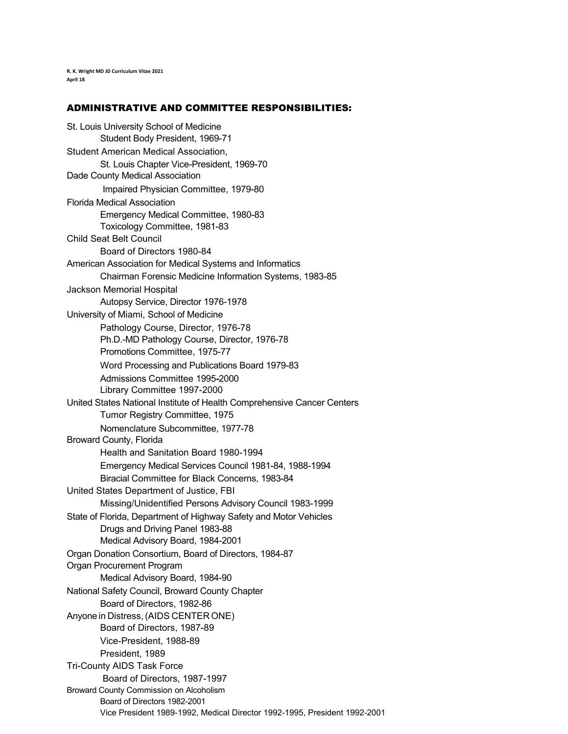**R. K. Wright MD JD Curriculum Vitae 2021 April 18**

#### ADMINISTRATIVE AND COMMITTEE RESPONSIBILITIES:

St. Louis University School of Medicine Student Body President, 1969-71 Student American Medical Association, St. Louis Chapter Vice-President, 1969-70 Dade County Medical Association Impaired Physician Committee, 1979-80 Florida Medical Association Emergency Medical Committee, 1980-83 Toxicology Committee, 1981-83 Child Seat Belt Council Board of Directors 1980-84 American Association for Medical Systems and Informatics Chairman Forensic Medicine Information Systems, 1983-85 Jackson Memorial Hospital Autopsy Service, Director 1976-1978 University of Miami, School of Medicine Pathology Course, Director, 1976-78 Ph.D.-MD Pathology Course, Director, 1976-78 Promotions Committee, 1975-77 Word Processing and Publications Board 1979-83 Admissions Committee 1995**-**2000 Library Committee 1997-2000 United States National Institute of Health Comprehensive Cancer Centers Tumor Registry Committee, 1975 Nomenclature Subcommittee, 1977-78 Broward County, Florida Health and Sanitation Board 1980-1994 Emergency Medical Services Council 1981-84, 1988-1994 Biracial Committee for Black Concerns, 1983-84 United States Department of Justice, FBI Missing/Unidentified Persons Advisory Council 1983-1999 State of Florida, Department of Highway Safety and Motor Vehicles Drugs and Driving Panel 1983-88 Medical Advisory Board, 1984-2001 Organ Donation Consortium, Board of Directors, 1984-87 Organ Procurement Program Medical Advisory Board, 1984-90 National Safety Council, Broward County Chapter Board of Directors, 1982-86 Anyonein Distress,(AIDS CENTER ONE) Board of Directors, 1987-89 Vice-President, 1988-89 President, 1989 Tri-County AIDS Task Force Board of Directors, 1987-1997 Broward County Commission on Alcoholism Board of Directors 1982-2001 Vice President 1989-1992, Medical Director 1992-1995, President 1992-2001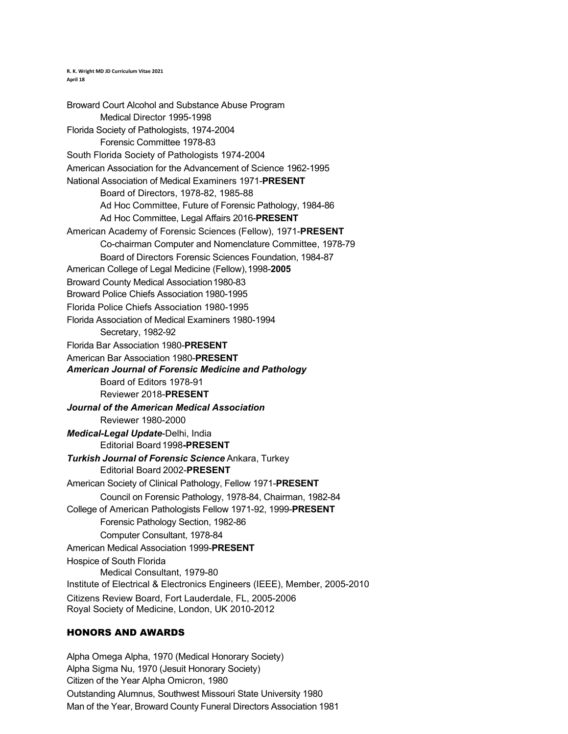**R. K. Wright MD JD Curriculum Vitae 2021** April 18

Broward Court Alcohol and Substance Abuse Program Medical Director 1995-1998 Florida Society of Pathologists, 1974-2004 Forensic Committee 1978-83 South Florida Society of Pathologists 1974-2004 American Association for the Advancement of Science 1962-1995 National Association of Medical Examiners 1971-**PRESENT** Board of Directors, 1978-82, 1985-88 Ad Hoc Committee, Future of Forensic Pathology, 1984-86 Ad Hoc Committee, Legal Affairs 2016-**PRESENT** American Academy of Forensic Sciences (Fellow), 1971-**PRESENT** Co-chairman Computer and Nomenclature Committee, 1978-79 Board of Directors Forensic Sciences Foundation, 1984-87 American College of Legal Medicine (Fellow),1998-**2005**  Broward County Medical Association 1980-83 Broward Police Chiefs Association 1980-1995 Florida Police Chiefs Association 1980-1995 Florida Association of Medical Examiners 1980-1994 Secretary, 1982-92 Florida Bar Association 1980-**PRESENT**  American Bar Association 1980-**PRESENT** *American Journal of Forensic Medicine and Pathology* Board of Editors 1978-91 Reviewer 2018-**PRESENT** *Journal of the American Medical Association* Reviewer 1980-2000 *Medical-Legal Update*-Delhi, India Editorial Board1998**-PRESENT** *Turkish Journal of Forensic Science* Ankara, Turkey Editorial Board 2002-**PRESENT** American Society of Clinical Pathology, Fellow 1971-**PRESENT**  Council on Forensic Pathology, 1978-84, Chairman, 1982-84 College of American Pathologists Fellow 1971-92, 1999-**PRESENT**  Forensic Pathology Section, 1982-86 Computer Consultant, 1978-84 American Medical Association 1999-**PRESENT**  Hospice of South Florida Medical Consultant, 1979-80 Institute of Electrical & Electronics Engineers (IEEE), Member, 2005-2010 Citizens Review Board, Fort Lauderdale, FL, 2005-2006 Royal Society of Medicine, London, UK 2010-2012

# HONORS AND AWARDS

Alpha Omega Alpha, 1970 (Medical Honorary Society) Alpha Sigma Nu, 1970 (Jesuit Honorary Society) Citizen of the Year Alpha Omicron, 1980 Outstanding Alumnus, Southwest Missouri State University 1980 Man of the Year, Broward County Funeral Directors Association 1981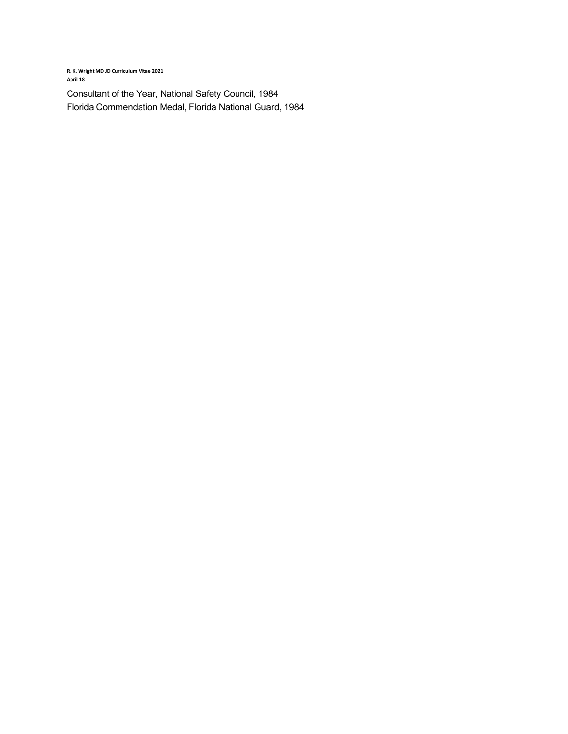**R. K. Wright MD JD Curriculum Vitae 2021 April 18** 

Consultant of the Year, National Safety Council, 1984 Florida Commendation Medal, Florida National Guard, 1984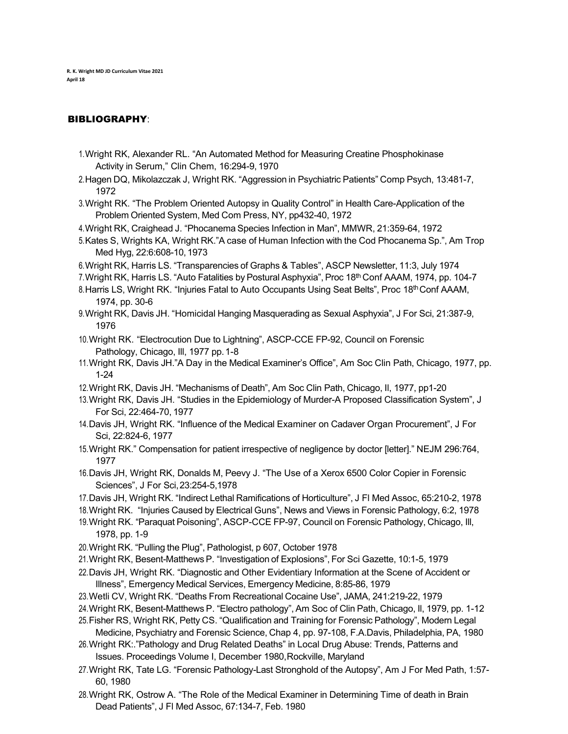# BIBLIOGRAPHY:

- 1.Wright RK, Alexander RL. "An Automated Method for Measuring Creatine Phosphokinase Activity in Serum," Clin Chem, 16:294-9, 1970
- 2.Hagen DQ, Mikolazczak J, Wright RK. "Aggression in Psychiatric Patients" Comp Psych, 13:481-7, 1972
- 3.Wright RK. "The Problem Oriented Autopsy in Quality Control" in Health Care-Application of the Problem Oriented System, Med Com Press, NY, pp432-40, 1972
- 4.Wright RK, Craighead J. "Phocanema Species Infection in Man", MMWR, 21:359-64, 1972
- 5.Kates S, Wrights KA, Wright RK."A case of Human Infection with the Cod Phocanema Sp.", Am Trop Med Hyg, 22:6:608-10, 1973
- 6.Wright RK, Harris LS. "Transparencies of Graphs & Tables", ASCP Newsletter, 11:3, July 1974
- 7. Wright RK, Harris LS. "Auto Fatalities by Postural Asphyxia", Proc 18<sup>th</sup> Conf AAAM, 1974, pp. 104-7
- 8. Harris LS, Wright RK. "Injuries Fatal to Auto Occupants Using Seat Belts", Proc 18th Conf AAAM, 1974, pp. 30-6
- 9.Wright RK, Davis JH. "Homicidal Hanging Masquerading as Sexual Asphyxia", J For Sci, 21:387-9, 1976
- 10.Wright RK. "Electrocution Due to Lightning", ASCP-CCE FP-92, Council on Forensic Pathology, Chicago, Ill, 1977 pp.1-8
- 11.Wright RK, Davis JH."A Day in the Medical Examiner's Office", Am Soc Clin Path, Chicago, 1977, pp. 1-24
- 12.Wright RK, Davis JH. "Mechanisms of Death", Am Soc Clin Path, Chicago, Il, 1977, pp1-20
- 13.Wright RK, Davis JH. "Studies in the Epidemiology of Murder-A Proposed Classification System", J For Sci, 22:464-70, 1977
- 14.Davis JH, Wright RK. "Influence of the Medical Examiner on Cadaver Organ Procurement", J For Sci, 22:824-6, 1977
- 15.Wright RK." Compensation for patient irrespective of negligence by doctor [letter]." NEJM 296:764, 1977
- 16.Davis JH, Wright RK, Donalds M, Peevy J. "The Use of a Xerox 6500 Color Copier in Forensic Sciences", J For Sci,23:254-5,1978
- 17.Davis JH, Wright RK. "Indirect Lethal Ramifications of Horticulture", J Fl Med Assoc, 65:210-2, 1978
- 18.Wright RK. "Injuries Caused by Electrical Guns", News and Views in Forensic Pathology, 6:2, 1978
- 19.Wright RK. "Paraquat Poisoning", ASCP-CCE FP-97, Council on Forensic Pathology, Chicago, Ill, 1978, pp. 1-9
- 20.Wright RK. "Pulling the Plug", Pathologist, p 607, October 1978
- 21.Wright RK, Besent-MatthewsP. "Investigation of Explosions", For Sci Gazette, 10:1-5, 1979
- 22.Davis JH, Wright RK. "Diagnostic and Other Evidentiary Information at the Scene of Accident or Illness", Emergency Medical Services, Emergency Medicine, 8:85-86, 1979
- 23.Wetli CV, Wright RK. "Deaths From Recreational Cocaine Use", JAMA, 241:219-22, 1979
- 24.Wright RK, Besent-Matthews P. "Electro pathology", Am Soc of Clin Path, Chicago, Il, 1979, pp. 1-12
- 25.Fisher RS, Wright RK, Petty CS. "Qualification and Training for Forensic Pathology", Modern Legal Medicine, Psychiatry and Forensic Science, Chap 4, pp. 97-108, F.A.Davis, Philadelphia, PA, 1980
- 26.Wright RK:."Pathology and Drug Related Deaths" in Local Drug Abuse: Trends, Patterns and Issues. Proceedings Volume I, December 1980,Rockville, Maryland
- 27.Wright RK, Tate LG. "Forensic Pathology-Last Stronghold of the Autopsy", Am J For Med Path, 1:57- 60, 1980
- 28.Wright RK, Ostrow A. "The Role of the Medical Examiner in Determining Time of death in Brain Dead Patients", J Fl Med Assoc, 67:134-7, Feb. 1980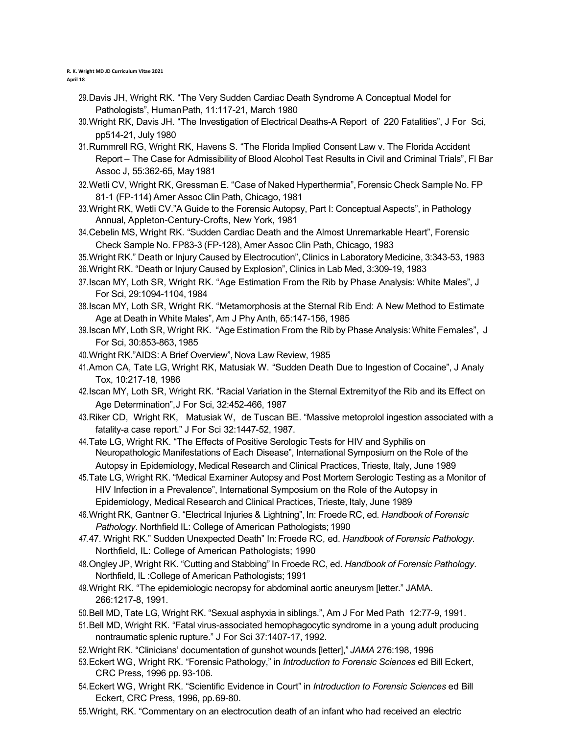**R. K. Wright MD JD Curriculum Vitae 2021**  April 18

- 29.Davis JH, Wright RK. "The Very Sudden Cardiac Death Syndrome A Conceptual Model for Pathologists", HumanPath, 11:117-21, March 1980
- 30.Wright RK, Davis JH. "The Investigation of Electrical Deaths-A Report of 220 Fatalities", J For Sci, pp514-21, July 1980
- 31.Rummrell RG, Wright RK, Havens S. "The Florida Implied Consent Law v. The Florida Accident Report – The Case for Admissibility of Blood Alcohol Test Results in Civil and Criminal Trials", Fl Bar Assoc J, 55:362-65, May1981
- 32.Wetli CV, Wright RK, Gressman E. "Case of Naked Hyperthermia", Forensic Check Sample No. FP 81-1 (FP-114) Amer Assoc Clin Path, Chicago, 1981
- 33.Wright RK, Wetli CV."A Guide to the Forensic Autopsy, Part I: Conceptual Aspects", in Pathology Annual, Appleton-Century-Crofts, New York, 1981
- 34.Cebelin MS, Wright RK. "Sudden Cardiac Death and the Almost Unremarkable Heart", Forensic Check Sample No. FP83-3 (FP-128), Amer Assoc Clin Path, Chicago, 1983
- 35.Wright RK." Death or Injury Caused by Electrocution", Clinics in Laboratory Medicine, 3:343-53, 1983
- 36.Wright RK. "Death or Injury Caused by Explosion", Clinics in Lab Med, 3:309-19, 1983
- 37.Iscan MY, Loth SR, Wright RK. "Age Estimation From the Rib by Phase Analysis: White Males", J For Sci, 29:1094-1104,1984
- 38.Iscan MY, Loth SR, Wright RK. "Metamorphosis at the Sternal Rib End: A New Method to Estimate Age at Death in White Males", Am J Phy Anth, 65:147-156, 1985
- 39.Iscan MY, Loth SR, Wright RK. "Age Estimation From the Rib by Phase Analysis: White Females", J For Sci, 30:853-863,1985
- 40.Wright RK."AIDS: A Brief Overview", Nova Law Review, 1985
- 41.Amon CA, Tate LG, Wright RK, Matusiak W. "Sudden Death Due to Ingestion of Cocaine", J Analy Tox, 10:217-18, 1986
- 42.Iscan MY, Loth SR, Wright RK. "Racial Variation in the Sternal Extremityof the Rib and its Effect on Age Determination",J For Sci, 32:452-466, 1987
- 43.Riker CD, Wright RK, Matusiak W, de Tuscan BE. "Massive metoprolol ingestion associated with a fatality-a case report." J For Sci 32:1447-52, 1987.
- 44.Tate LG, Wright RK. "The Effects of Positive Serologic Tests for HIV and Syphilis on Neuropathologic Manifestations of Each Disease", International Symposium on the Role of the Autopsy in Epidemiology, Medical Research and Clinical Practices, Trieste, Italy, June 1989
- 45.Tate LG, Wright RK. "Medical Examiner Autopsy and Post Mortem Serologic Testing as a Monitor of HIV Infection in a Prevalence", International Symposium on the Role of the Autopsy in Epidemiology, Medical Research and Clinical Practices, Trieste, Italy, June 1989
- 46.Wright RK, Gantner G. "Electrical Injuries & Lightning", In: Froede RC, ed*. Handbook of Forensic Pathology*. Northfield IL: College of American Pathologists; 1990
- *47.*47. Wright RK." Sudden Unexpected Death" In:Froede RC, ed. *Handbook of Forensic Pathology.* Northfield, IL: College of American Pathologists; 1990
- 48.Ongley JP, Wright RK. "Cutting and Stabbing" In Froede RC, ed. *Handbook of Forensic Pathology*. Northfield, IL :College of American Pathologists; 1991
- 49.Wright RK. "The epidemiologic necropsy for abdominal aortic aneurysm [letter." JAMA. 266:1217-8, 1991.
- 50.Bell MD, Tate LG, Wright RK. "Sexual asphyxia in siblings.", Am J For Med Path 12:77-9, 1991.
- 51.Bell MD, Wright RK. "Fatal virus-associated hemophagocytic syndrome in a young adult producing nontraumatic splenic rupture." J For Sci 37:1407-17, 1992.
- 52.Wright RK. "Clinicians' documentation of gunshot wounds [letter]," *JAMA* 276:198, 1996
- 53.Eckert WG, Wright RK. "Forensic Pathology," in *Introduction to Forensic Sciences* ed Bill Eckert, CRC Press, 1996 pp. 93-106.
- 54.Eckert WG, Wright RK. "Scientific Evidence in Court" in *Introduction to Forensic Sciences* ed Bill Eckert, CRC Press, 1996, pp.69-80.
- 55.Wright, RK. "Commentary on an electrocution death of an infant who had received an electric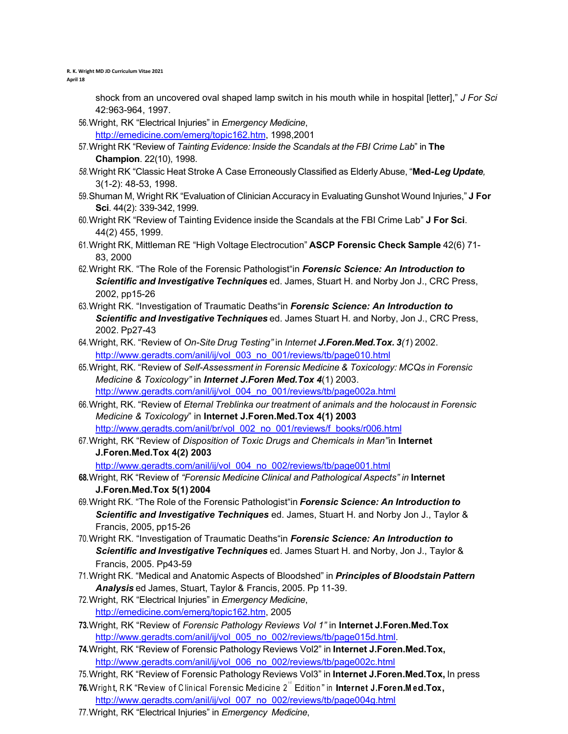**R. K. Wright MD JD Curriculum Vitae 2021**  April 18

> shock from an uncovered oval shaped lamp switch in his mouth while in hospital [letter]," *J For Sci* 42:963-964, 1997.

56.Wright, RK "Electrical Injuries" in *Emergency Medicine*,

http://emedicine.com/emerg/topic162.htm, 1998,2001

- 57.Wright RK "Review of *Tainting Evidence: Inside the Scandals at the FBI Crime Lab*" in **The Champion**. 22(10), 1998.
- *58.*Wright RK "Classic Heat Stroke A Case Erroneously Classified as Elderly Abuse, "**Med***-Leg Update,* 3(1-2): 48-53, 1998.
- 59.Shuman M, Wright RK "Evaluation of Clinician Accuracy in Evaluating Gunshot Wound Injuries," **J For Sci**. 44(2): 339-342, 1999.
- 60.Wright RK "Review of Tainting Evidence inside the Scandals at the FBI Crime Lab" **J For Sci**. 44(2) 455, 1999.
- 61.Wright RK, Mittleman RE "High Voltage Electrocution" **ASCP Forensic Check Sample** 42(6) 71- 83, 2000
- 62.Wright RK. "The Role of the Forensic Pathologist"in *Forensic Science: An Introduction to Scientific and Investigative Techniques* ed. James, Stuart H. and Norby Jon J., CRC Press, 2002, pp15-26
- 63.Wright RK. "Investigation of Traumatic Deaths"in *Forensic Science: An Introduction to Scientific and Investigative Techniques* ed. James Stuart H. and Norby, Jon J., CRC Press, 2002. Pp27-43
- 64.Wright, RK. "Review of *On-Site Drug Testing"* in *Internet J.Foren.Med.Tox. 3(1*) 2002. http://www.geradts.com/anil/ij/vol\_003\_no\_001/reviews/tb/page010.html
- 65.Wright, RK. "Review of *Self-Assessment in Forensic Medicine & Toxicology: MCQs in Forensic Medicine & Toxicology"* in *Internet J.Foren Med.Tox 4*(1) 2003. http://www.geradts.com/anil/ij/vol\_004\_no\_001/reviews/tb/page002a.html
- 66.Wright, RK. "Review of *Eternal Treblinka our treatment of animals and the holocaust in Forensic Medicine & Toxicology*" in **Internet J.Foren.Med.Tox 4(1) 2003** http://www.geradts.com/anil/br/vol\_002\_no\_001/reviews/f\_books/r006.html
- 67.Wright, RK "Review of *Disposition of Toxic Drugs and Chemicals in Man"*in **Internet J.Foren.Med.Tox 4(2) 2003**

http://www.geradts.com/anil/ij/vol\_004\_no\_002/reviews/tb/page001.html

- **68.**Wright, RK "Review of *"Forensic Medicine Clinical and Pathological Aspects" in* **Internet J.Foren.Med.Tox 5(1) 2004**
- 69.Wright RK. "The Role of the Forensic Pathologist"in *Forensic Science: An Introduction to Scientific and Investigative Techniques* ed. James, Stuart H. and Norby Jon J., Taylor & Francis, 2005, pp15-26
- 70.Wright RK. "Investigation of Traumatic Deaths"in *Forensic Science: An Introduction to Scientific and Investigative Techniques* ed. James Stuart H. and Norby, Jon J., Taylor & Francis, 2005. Pp43-59
- 71.Wright RK. "Medical and Anatomic Aspects of Bloodshed" in *Principles of Bloodstain Pattern Analysis* ed James, Stuart, Taylor & Francis, 2005. Pp 11-39.
- 72.Wright, RK "Electrical Injuries" in *Emergency Medicine*, http://emedicine.com/emerg/topic162.htm, 2005
- **73.**Wright, RK "Review of *Forensic Pathology Reviews Vol 1"* in **Internet J.Foren.Med.Tox** http://www.geradts.com/anil/ij/vol\_005\_no\_002/reviews/tb/page015d.html.
- **74.**Wright, RK "Review of Forensic Pathology Reviews Vol2" in **Internet J.Foren.Med.Tox,** http://www.geradts.com/anil/ij/vol\_006\_no\_002/reviews/tb/page002c.html
- 75.Wright, RK "Review of Forensic Pathology Reviews Vol3" in **Internet J.Foren.Med.Tox,** In press
- $\bf{76}$ .Wright, R.K "Review of Clinical Forensic Medicine 2 $^{\circ}$  Edition" in Internet J.Foren.Med.Tox, http://www.geradts.com/anil/ij/vol\_007\_no\_002/reviews/tb/page004g.html
- 77.Wright, RK "Electrical Injuries" in *Emergency Medicine*,